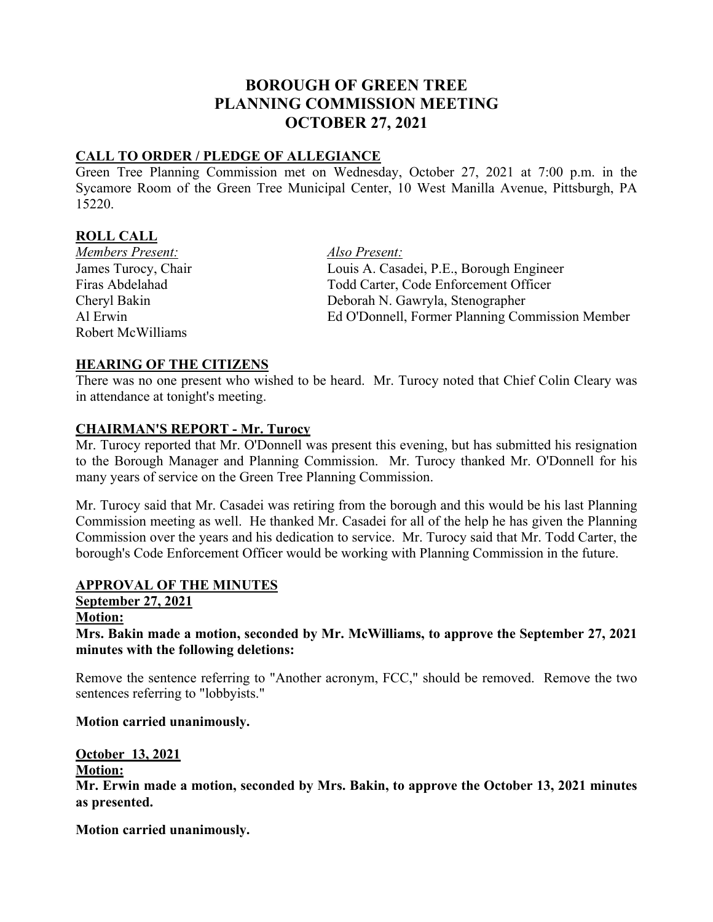# **BOROUGH OF GREEN TREE PLANNING COMMISSION MEETING OCTOBER 27, 2021**

## **CALL TO ORDER / PLEDGE OF ALLEGIANCE**

Green Tree Planning Commission met on Wednesday, October 27, 2021 at 7:00 p.m. in the Sycamore Room of the Green Tree Municipal Center, 10 West Manilla Avenue, Pittsburgh, PA 15220.

## **ROLL CALL**

*Members Present: Also Present:* Robert McWilliams

James Turocy, Chair Louis A. Casadei, P.E., Borough Engineer Firas Abdelahad Todd Carter, Code Enforcement Officer Cheryl Bakin Deborah N. Gawryla, Stenographer Al Erwin Ed O'Donnell, Former Planning Commission Member

## **HEARING OF THE CITIZENS**

There was no one present who wished to be heard. Mr. Turocy noted that Chief Colin Cleary was in attendance at tonight's meeting.

## **CHAIRMAN'S REPORT - Mr. Turocy**

Mr. Turocy reported that Mr. O'Donnell was present this evening, but has submitted his resignation to the Borough Manager and Planning Commission. Mr. Turocy thanked Mr. O'Donnell for his many years of service on the Green Tree Planning Commission.

Mr. Turocy said that Mr. Casadei was retiring from the borough and this would be his last Planning Commission meeting as well. He thanked Mr. Casadei for all of the help he has given the Planning Commission over the years and his dedication to service. Mr. Turocy said that Mr. Todd Carter, the borough's Code Enforcement Officer would be working with Planning Commission in the future.

## **APPROVAL OF THE MINUTES**

# **September 27, 2021**

## **Motion:**

**Mrs. Bakin made a motion, seconded by Mr. McWilliams, to approve the September 27, 2021 minutes with the following deletions:**

Remove the sentence referring to "Another acronym, FCC," should be removed. Remove the two sentences referring to "lobbyists."

## **Motion carried unanimously.**

## **October 13, 2021**

## **Motion:**

**Mr. Erwin made a motion, seconded by Mrs. Bakin, to approve the October 13, 2021 minutes as presented.**

**Motion carried unanimously.**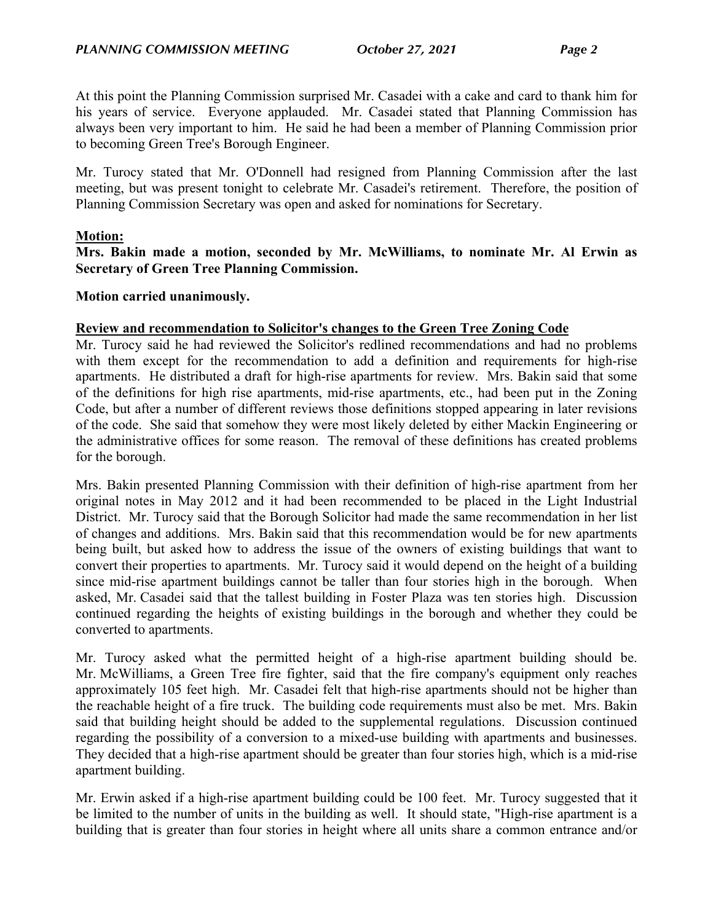At this point the Planning Commission surprised Mr. Casadei with a cake and card to thank him for his years of service. Everyone applauded. Mr. Casadei stated that Planning Commission has always been very important to him. He said he had been a member of Planning Commission prior to becoming Green Tree's Borough Engineer.

Mr. Turocy stated that Mr. O'Donnell had resigned from Planning Commission after the last meeting, but was present tonight to celebrate Mr. Casadei's retirement. Therefore, the position of Planning Commission Secretary was open and asked for nominations for Secretary.

## **Motion:**

**Mrs. Bakin made a motion, seconded by Mr. McWilliams, to nominate Mr. Al Erwin as Secretary of Green Tree Planning Commission.**

#### **Motion carried unanimously.**

#### **Review and recommendation to Solicitor's changes to the Green Tree Zoning Code**

Mr. Turocy said he had reviewed the Solicitor's redlined recommendations and had no problems with them except for the recommendation to add a definition and requirements for high-rise apartments. He distributed a draft for high-rise apartments for review. Mrs. Bakin said that some of the definitions for high rise apartments, mid-rise apartments, etc., had been put in the Zoning Code, but after a number of different reviews those definitions stopped appearing in later revisions of the code. She said that somehow they were most likely deleted by either Mackin Engineering or the administrative offices for some reason. The removal of these definitions has created problems for the borough.

Mrs. Bakin presented Planning Commission with their definition of high-rise apartment from her original notes in May 2012 and it had been recommended to be placed in the Light Industrial District. Mr. Turocy said that the Borough Solicitor had made the same recommendation in her list of changes and additions. Mrs. Bakin said that this recommendation would be for new apartments being built, but asked how to address the issue of the owners of existing buildings that want to convert their properties to apartments. Mr. Turocy said it would depend on the height of a building since mid-rise apartment buildings cannot be taller than four stories high in the borough. When asked, Mr. Casadei said that the tallest building in Foster Plaza was ten stories high. Discussion continued regarding the heights of existing buildings in the borough and whether they could be converted to apartments.

Mr. Turocy asked what the permitted height of a high-rise apartment building should be. Mr. McWilliams, a Green Tree fire fighter, said that the fire company's equipment only reaches approximately 105 feet high. Mr. Casadei felt that high-rise apartments should not be higher than the reachable height of a fire truck. The building code requirements must also be met. Mrs. Bakin said that building height should be added to the supplemental regulations. Discussion continued regarding the possibility of a conversion to a mixed-use building with apartments and businesses. They decided that a high-rise apartment should be greater than four stories high, which is a mid-rise apartment building.

Mr. Erwin asked if a high-rise apartment building could be 100 feet. Mr. Turocy suggested that it be limited to the number of units in the building as well. It should state, "High-rise apartment is a building that is greater than four stories in height where all units share a common entrance and/or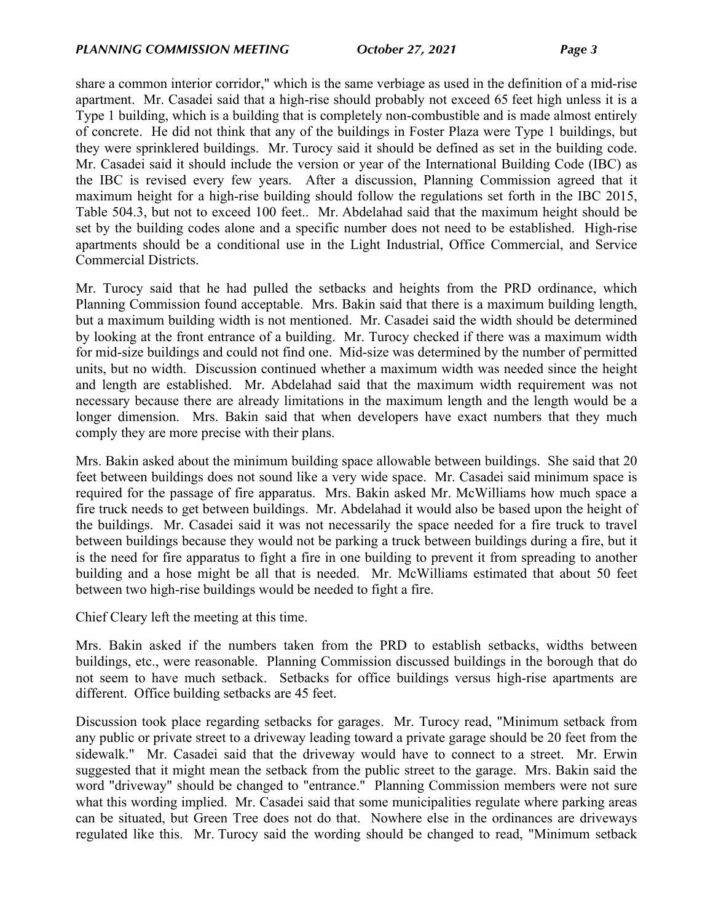share a common interior corridor," which is the same verbiage as used in the definition of a mid-rise apartment. Mr. Casadei said that a high-rise should probably not exceed 65 feet high unless it is a Type 1 building, which is a building that is completely non-combustible and is made almost entirely of concrete. He did not think that any of the buildings in Foster Plaza were Type 1 buildings, but they were sprinklered buildings. Mr. Turocy said it should be defined as set in the building code. Mr. Casadei said it should include the version or year of the International Building Code (IBC) as the IBC is revised every few years. After a discussion, Planning Commission agreed that it maximum height for a high-rise building should follow the regulations set forth in the IBC 2015, Table 504.3, but not to exceed 100 feet.. Mr. Abdelahad said that the maximum height should be set by the building codes alone and a specific number does not need to be established. High-rise apartments should be a conditional use in the Light Industrial, Office Commercial, and Service Commercial Districts.

Mr. Turocy said that he had pulled the setbacks and heights from the PRD ordinance, which Planning Commission found acceptable. Mrs. Bakin said that there is a maximum building length, but a maximum building width is not mentioned. Mr. Casadei said the width should be determined by looking at the front entrance of a building. Mr. Turocy checked if there was a maximum width for mid-size buildings and could not find one. Mid-size was determined by the number of permitted units, but no width. Discussion continued whether a maximum width was needed since the height and length are established. Mr. Abdelahad said that the maximum width requirement was not necessary because there are already limitations in the maximum length and the length would be a longer dimension. Mrs. Bakin said that when developers have exact numbers that they much comply they are more precise with their plans.

Mrs. Bakin asked about the minimum building space allowable between buildings. She said that 20 feet between buildings does not sound like a very wide space. Mr. Casadei said minimum space is required for the passage of fire apparatus. Mrs. Bakin asked Mr. McWilliams how much space a fire truck needs to get between buildings. Mr. Abdelahad it would also be based upon the height of the buildings. Mr. Casadei said it was not necessarily the space needed for a fire truck to travel between buildings because they would not be parking a truck between buildings during a fire, but it is the need for fire apparatus to fight a fire in one building to prevent it from spreading to another building and a hose might be all that is needed. Mr. McWilliams estimated that about 50 feet between two high-rise buildings would be needed to fight a fire.

Chief Cleary left the meeting at this time.

Mrs. Bakin asked if the numbers taken from the PRD to establish setbacks, widths between buildings, etc., were reasonable. Planning Commission discussed buildings in the borough that do not seem to have much setback. Setbacks for office buildings versus high-rise apartments are different. Office building setbacks are 45 feet.

Discussion took place regarding setbacks for garages. Mr. Turocy read, "Minimum setback from any public or private street to a driveway leading toward a private garage should be 20 feet from the sidewalk." Mr. Casadei said that the driveway would have to connect to a street. Mr. Erwin suggested that it might mean the setback from the public street to the garage. Mrs. Bakin said the word "driveway" should be changed to "entrance." Planning Commission members were not sure what this wording implied. Mr. Casadei said that some municipalities regulate where parking areas can be situated, but Green Tree does not do that. Nowhere else in the ordinances are driveways regulated like this. Mr. Turocy said the wording should be changed to read, "Minimum setback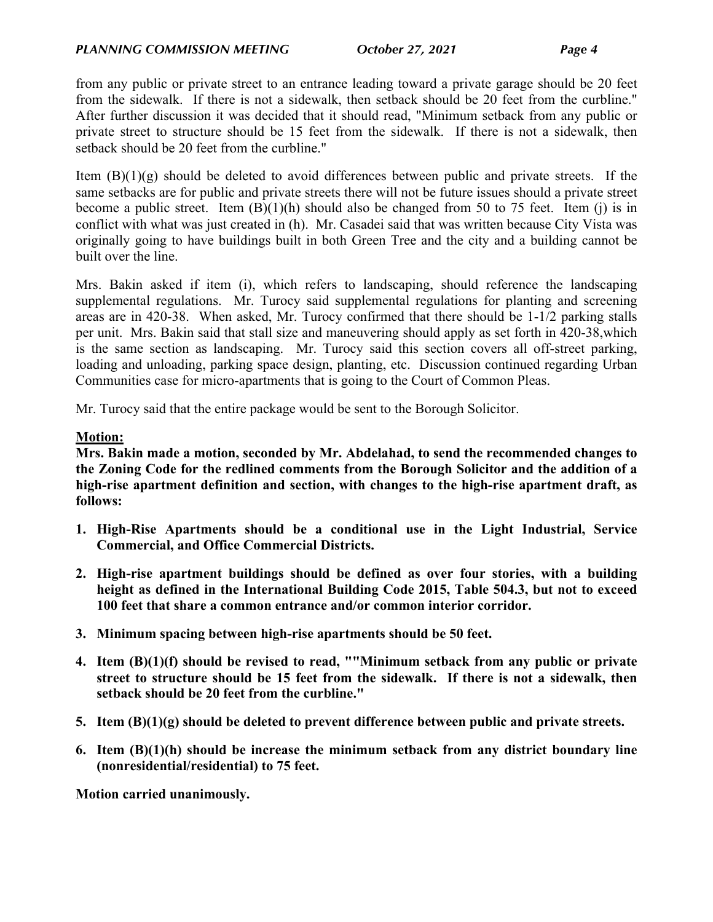from any public or private street to an entrance leading toward a private garage should be 20 feet from the sidewalk. If there is not a sidewalk, then setback should be 20 feet from the curbline." After further discussion it was decided that it should read, "Minimum setback from any public or private street to structure should be 15 feet from the sidewalk. If there is not a sidewalk, then setback should be 20 feet from the curbline."

Item (B)(1)(g) should be deleted to avoid differences between public and private streets. If the same setbacks are for public and private streets there will not be future issues should a private street become a public street. Item  $(B)(1)(h)$  should also be changed from 50 to 75 feet. Item (j) is in conflict with what was just created in (h). Mr. Casadei said that was written because City Vista was originally going to have buildings built in both Green Tree and the city and a building cannot be built over the line.

Mrs. Bakin asked if item (i), which refers to landscaping, should reference the landscaping supplemental regulations. Mr. Turocy said supplemental regulations for planting and screening areas are in 420-38. When asked, Mr. Turocy confirmed that there should be 1-1/2 parking stalls per unit. Mrs. Bakin said that stall size and maneuvering should apply as set forth in 420-38,which is the same section as landscaping. Mr. Turocy said this section covers all off-street parking, loading and unloading, parking space design, planting, etc. Discussion continued regarding Urban Communities case for micro-apartments that is going to the Court of Common Pleas.

Mr. Turocy said that the entire package would be sent to the Borough Solicitor.

## **Motion:**

**Mrs. Bakin made a motion, seconded by Mr. Abdelahad, to send the recommended changes to the Zoning Code for the redlined comments from the Borough Solicitor and the addition of a high-rise apartment definition and section, with changes to the high-rise apartment draft, as follows:**

- **1. High-Rise Apartments should be a conditional use in the Light Industrial, Service Commercial, and Office Commercial Districts.**
- **2. High-rise apartment buildings should be defined as over four stories, with a building height as defined in the International Building Code 2015, Table 504.3, but not to exceed 100 feet that share a common entrance and/or common interior corridor.**
- **3. Minimum spacing between high-rise apartments should be 50 feet.**
- **4. Item (B)(1)(f) should be revised to read, ""Minimum setback from any public or private street to structure should be 15 feet from the sidewalk. If there is not a sidewalk, then setback should be 20 feet from the curbline."**
- **5. Item (B)(1)(g) should be deleted to prevent difference between public and private streets.**
- **6. Item (B)(1)(h) should be increase the minimum setback from any district boundary line (nonresidential/residential) to 75 feet.**

**Motion carried unanimously.**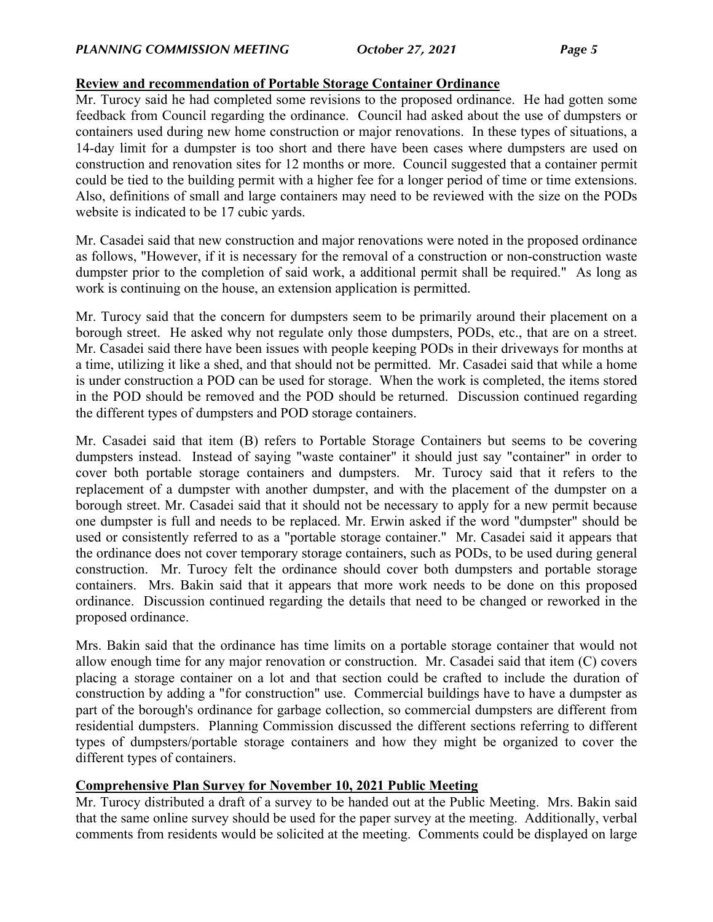## **Review and recommendation of Portable Storage Container Ordinance**

Mr. Turocy said he had completed some revisions to the proposed ordinance. He had gotten some feedback from Council regarding the ordinance. Council had asked about the use of dumpsters or containers used during new home construction or major renovations. In these types of situations, a 14-day limit for a dumpster is too short and there have been cases where dumpsters are used on construction and renovation sites for 12 months or more. Council suggested that a container permit could be tied to the building permit with a higher fee for a longer period of time or time extensions. Also, definitions of small and large containers may need to be reviewed with the size on the PODs website is indicated to be 17 cubic yards.

Mr. Casadei said that new construction and major renovations were noted in the proposed ordinance as follows, "However, if it is necessary for the removal of a construction or non-construction waste dumpster prior to the completion of said work, a additional permit shall be required." As long as work is continuing on the house, an extension application is permitted.

Mr. Turocy said that the concern for dumpsters seem to be primarily around their placement on a borough street. He asked why not regulate only those dumpsters, PODs, etc., that are on a street. Mr. Casadei said there have been issues with people keeping PODs in their driveways for months at a time, utilizing it like a shed, and that should not be permitted. Mr. Casadei said that while a home is under construction a POD can be used for storage. When the work is completed, the items stored in the POD should be removed and the POD should be returned. Discussion continued regarding the different types of dumpsters and POD storage containers.

Mr. Casadei said that item (B) refers to Portable Storage Containers but seems to be covering dumpsters instead. Instead of saying "waste container" it should just say "container" in order to cover both portable storage containers and dumpsters. Mr. Turocy said that it refers to the replacement of a dumpster with another dumpster, and with the placement of the dumpster on a borough street. Mr. Casadei said that it should not be necessary to apply for a new permit because one dumpster is full and needs to be replaced. Mr. Erwin asked if the word "dumpster" should be used or consistently referred to as a "portable storage container." Mr. Casadei said it appears that the ordinance does not cover temporary storage containers, such as PODs, to be used during general construction. Mr. Turocy felt the ordinance should cover both dumpsters and portable storage containers. Mrs. Bakin said that it appears that more work needs to be done on this proposed ordinance. Discussion continued regarding the details that need to be changed or reworked in the proposed ordinance.

Mrs. Bakin said that the ordinance has time limits on a portable storage container that would not allow enough time for any major renovation or construction. Mr. Casadei said that item (C) covers placing a storage container on a lot and that section could be crafted to include the duration of construction by adding a "for construction" use. Commercial buildings have to have a dumpster as part of the borough's ordinance for garbage collection, so commercial dumpsters are different from residential dumpsters. Planning Commission discussed the different sections referring to different types of dumpsters/portable storage containers and how they might be organized to cover the different types of containers.

## **Comprehensive Plan Survey for November 10, 2021 Public Meeting**

Mr. Turocy distributed a draft of a survey to be handed out at the Public Meeting. Mrs. Bakin said that the same online survey should be used for the paper survey at the meeting. Additionally, verbal comments from residents would be solicited at the meeting. Comments could be displayed on large